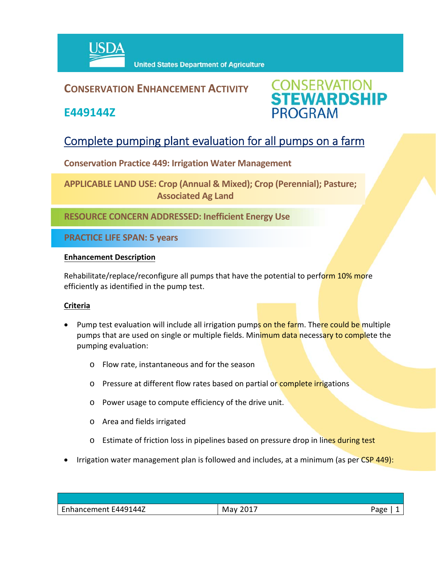

## **CONSERVATION ENHANCEMENT ACTIVITY**

**E449144Z**



# Complete pumping plant evaluation for all pumps on a farm

**Conservation Practice 449: Irrigation Water Management** 

**APPLICABLE LAND USE: Crop (Annual & Mixed); Crop (Perennial); Pasture; Associated Ag Land**

**RESOURCE CONCERN ADDRESSED: Inefficient Energy Use**

**PRACTICE LIFE SPAN: 5 years**

### **Enhancement Description**

Rehabilitate/replace/reconfigure all pumps that have the potential to perform 10% more efficiently as identified in the pump test.

### **Criteria**

- Pump test evaluation will include all irrigation pumps on the farm. There could be multiple pumps that are used on single or multiple fields. Minimum data necessary to complete the pumping evaluation:
	- o Flow rate, instantaneous and for the season
	- o Pressure at different flow rates based on partial or complete irrigations
	- o Power usage to compute efficiency of the drive unit.
	- o Area and fields irrigated
	- o Estimate of friction loss in pipelines based on pressure drop in lines during test
- Irrigation water management plan is followed and includes, at a minimum (as per CSP 449):

| Enhancement E449144Z | 2017<br>May | Page |
|----------------------|-------------|------|